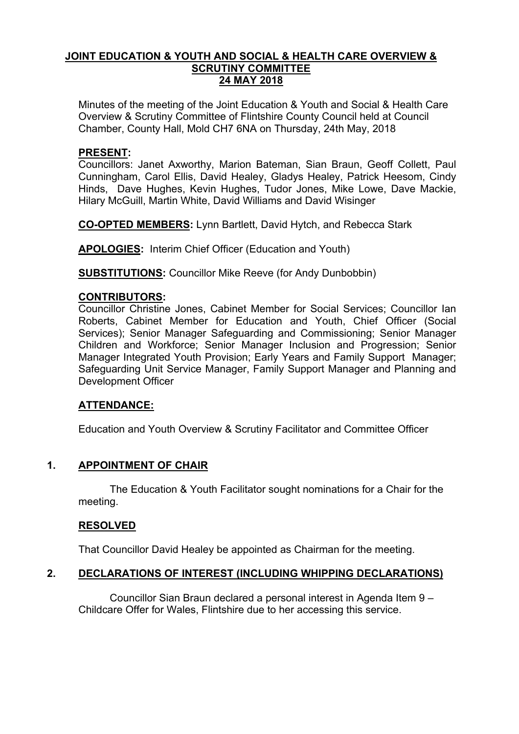## **JOINT EDUCATION & YOUTH AND SOCIAL & HEALTH CARE OVERVIEW & SCRUTINY COMMITTEE 24 MAY 2018**

Minutes of the meeting of the Joint Education & Youth and Social & Health Care Overview & Scrutiny Committee of Flintshire County Council held at Council Chamber, County Hall, Mold CH7 6NA on Thursday, 24th May, 2018

## **PRESENT:**

Councillors: Janet Axworthy, Marion Bateman, Sian Braun, Geoff Collett, Paul Cunningham, Carol Ellis, David Healey, Gladys Healey, Patrick Heesom, Cindy Hinds, Dave Hughes, Kevin Hughes, Tudor Jones, Mike Lowe, Dave Mackie, Hilary McGuill, Martin White, David Williams and David Wisinger

**CO-OPTED MEMBERS:** Lynn Bartlett, David Hytch, and Rebecca Stark

**APOLOGIES:** Interim Chief Officer (Education and Youth)

**SUBSTITUTIONS:** Councillor Mike Reeve (for Andy Dunbobbin)

## **CONTRIBUTORS:**

Councillor Christine Jones, Cabinet Member for Social Services; Councillor Ian Roberts, Cabinet Member for Education and Youth, Chief Officer (Social Services); Senior Manager Safeguarding and Commissioning; Senior Manager Children and Workforce; Senior Manager Inclusion and Progression; Senior Manager Integrated Youth Provision; Early Years and Family Support Manager; Safeguarding Unit Service Manager, Family Support Manager and Planning and Development Officer

## **ATTENDANCE:**

Education and Youth Overview & Scrutiny Facilitator and Committee Officer

# **1. APPOINTMENT OF CHAIR**

The Education & Youth Facilitator sought nominations for a Chair for the meeting.

## **RESOLVED**

That Councillor David Healey be appointed as Chairman for the meeting.

# **2. DECLARATIONS OF INTEREST (INCLUDING WHIPPING DECLARATIONS)**

Councillor Sian Braun declared a personal interest in Agenda Item 9 – Childcare Offer for Wales, Flintshire due to her accessing this service.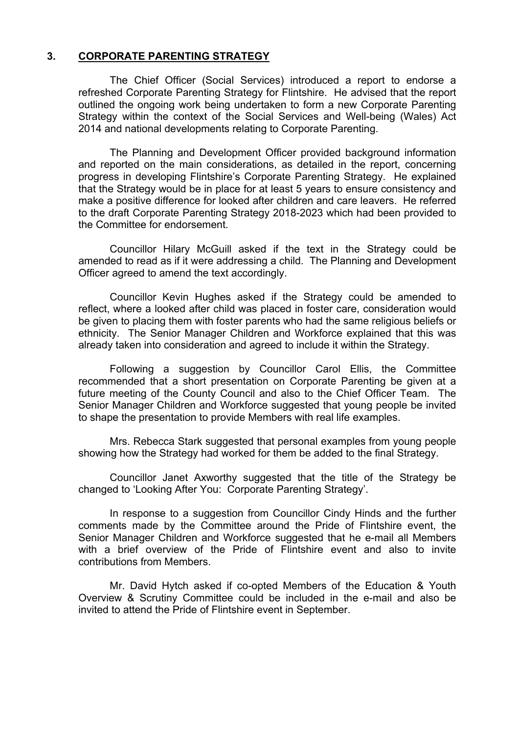## **3. CORPORATE PARENTING STRATEGY**

The Chief Officer (Social Services) introduced a report to endorse a refreshed Corporate Parenting Strategy for Flintshire. He advised that the report outlined the ongoing work being undertaken to form a new Corporate Parenting Strategy within the context of the Social Services and Well-being (Wales) Act 2014 and national developments relating to Corporate Parenting.

The Planning and Development Officer provided background information and reported on the main considerations, as detailed in the report, concerning progress in developing Flintshire's Corporate Parenting Strategy. He explained that the Strategy would be in place for at least 5 years to ensure consistency and make a positive difference for looked after children and care leavers. He referred to the draft Corporate Parenting Strategy 2018-2023 which had been provided to the Committee for endorsement.

Councillor Hilary McGuill asked if the text in the Strategy could be amended to read as if it were addressing a child. The Planning and Development Officer agreed to amend the text accordingly.

Councillor Kevin Hughes asked if the Strategy could be amended to reflect, where a looked after child was placed in foster care, consideration would be given to placing them with foster parents who had the same religious beliefs or ethnicity. The Senior Manager Children and Workforce explained that this was already taken into consideration and agreed to include it within the Strategy.

Following a suggestion by Councillor Carol Ellis, the Committee recommended that a short presentation on Corporate Parenting be given at a future meeting of the County Council and also to the Chief Officer Team. The Senior Manager Children and Workforce suggested that young people be invited to shape the presentation to provide Members with real life examples.

Mrs. Rebecca Stark suggested that personal examples from young people showing how the Strategy had worked for them be added to the final Strategy.

Councillor Janet Axworthy suggested that the title of the Strategy be changed to 'Looking After You: Corporate Parenting Strategy'.

In response to a suggestion from Councillor Cindy Hinds and the further comments made by the Committee around the Pride of Flintshire event, the Senior Manager Children and Workforce suggested that he e-mail all Members with a brief overview of the Pride of Flintshire event and also to invite contributions from Members.

Mr. David Hytch asked if co-opted Members of the Education & Youth Overview & Scrutiny Committee could be included in the e-mail and also be invited to attend the Pride of Flintshire event in September.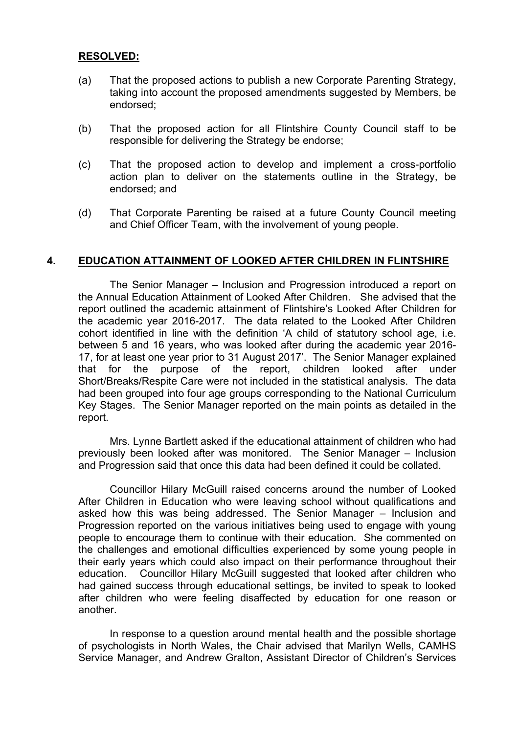### **RESOLVED:**

- (a) That the proposed actions to publish a new Corporate Parenting Strategy, taking into account the proposed amendments suggested by Members, be endorsed;
- (b) That the proposed action for all Flintshire County Council staff to be responsible for delivering the Strategy be endorse;
- (c) That the proposed action to develop and implement a cross-portfolio action plan to deliver on the statements outline in the Strategy, be endorsed; and
- (d) That Corporate Parenting be raised at a future County Council meeting and Chief Officer Team, with the involvement of young people.

### **4. EDUCATION ATTAINMENT OF LOOKED AFTER CHILDREN IN FLINTSHIRE**

The Senior Manager – Inclusion and Progression introduced a report on the Annual Education Attainment of Looked After Children. She advised that the report outlined the academic attainment of Flintshire's Looked After Children for the academic year 2016-2017. The data related to the Looked After Children cohort identified in line with the definition 'A child of statutory school age, i.e. between 5 and 16 years, who was looked after during the academic year 2016- 17, for at least one year prior to 31 August 2017'. The Senior Manager explained that for the purpose of the report, children looked after under Short/Breaks/Respite Care were not included in the statistical analysis. The data had been grouped into four age groups corresponding to the National Curriculum Key Stages. The Senior Manager reported on the main points as detailed in the report.

Mrs. Lynne Bartlett asked if the educational attainment of children who had previously been looked after was monitored. The Senior Manager – Inclusion and Progression said that once this data had been defined it could be collated.

Councillor Hilary McGuill raised concerns around the number of Looked After Children in Education who were leaving school without qualifications and asked how this was being addressed. The Senior Manager – Inclusion and Progression reported on the various initiatives being used to engage with young people to encourage them to continue with their education. She commented on the challenges and emotional difficulties experienced by some young people in their early years which could also impact on their performance throughout their education. Councillor Hilary McGuill suggested that looked after children who had gained success through educational settings, be invited to speak to looked after children who were feeling disaffected by education for one reason or another.

In response to a question around mental health and the possible shortage of psychologists in North Wales, the Chair advised that Marilyn Wells, CAMHS Service Manager, and Andrew Gralton, Assistant Director of Children's Services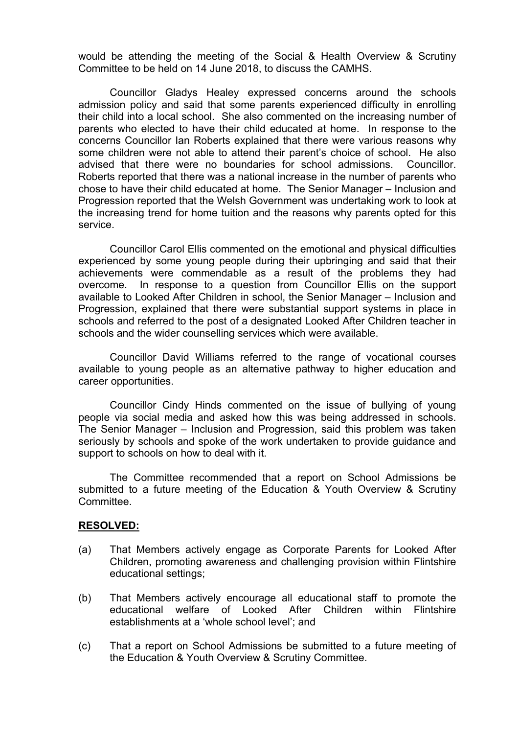would be attending the meeting of the Social & Health Overview & Scrutiny Committee to be held on 14 June 2018, to discuss the CAMHS.

Councillor Gladys Healey expressed concerns around the schools admission policy and said that some parents experienced difficulty in enrolling their child into a local school. She also commented on the increasing number of parents who elected to have their child educated at home. In response to the concerns Councillor Ian Roberts explained that there were various reasons why some children were not able to attend their parent's choice of school. He also advised that there were no boundaries for school admissions. Councillor. Roberts reported that there was a national increase in the number of parents who chose to have their child educated at home. The Senior Manager – Inclusion and Progression reported that the Welsh Government was undertaking work to look at the increasing trend for home tuition and the reasons why parents opted for this service.

Councillor Carol Ellis commented on the emotional and physical difficulties experienced by some young people during their upbringing and said that their achievements were commendable as a result of the problems they had overcome. In response to a question from Councillor Ellis on the support available to Looked After Children in school, the Senior Manager – Inclusion and Progression, explained that there were substantial support systems in place in schools and referred to the post of a designated Looked After Children teacher in schools and the wider counselling services which were available.

Councillor David Williams referred to the range of vocational courses available to young people as an alternative pathway to higher education and career opportunities.

Councillor Cindy Hinds commented on the issue of bullying of young people via social media and asked how this was being addressed in schools. The Senior Manager – Inclusion and Progression, said this problem was taken seriously by schools and spoke of the work undertaken to provide guidance and support to schools on how to deal with it.

The Committee recommended that a report on School Admissions be submitted to a future meeting of the Education & Youth Overview & Scrutiny Committee.

#### **RESOLVED:**

- (a) That Members actively engage as Corporate Parents for Looked After Children, promoting awareness and challenging provision within Flintshire educational settings;
- (b) That Members actively encourage all educational staff to promote the educational welfare of Looked After Children within Flintshire establishments at a 'whole school level'; and
- (c) That a report on School Admissions be submitted to a future meeting of the Education & Youth Overview & Scrutiny Committee.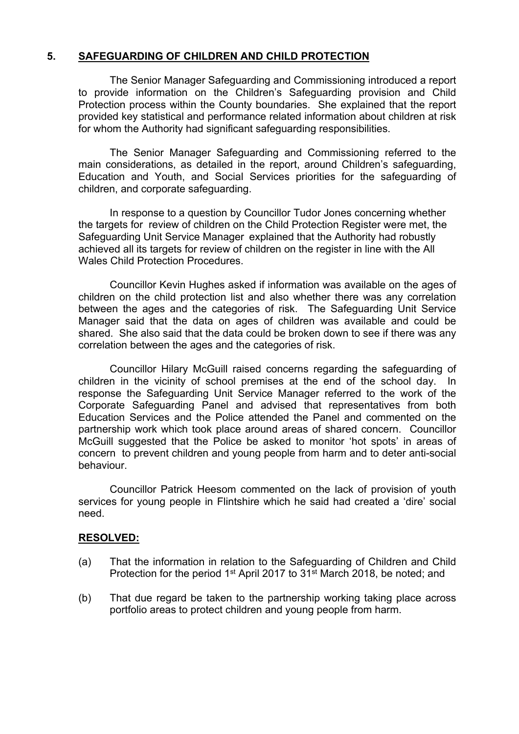# **5. SAFEGUARDING OF CHILDREN AND CHILD PROTECTION**

The Senior Manager Safeguarding and Commissioning introduced a report to provide information on the Children's Safeguarding provision and Child Protection process within the County boundaries. She explained that the report provided key statistical and performance related information about children at risk for whom the Authority had significant safeguarding responsibilities.

The Senior Manager Safeguarding and Commissioning referred to the main considerations, as detailed in the report, around Children's safeguarding, Education and Youth, and Social Services priorities for the safeguarding of children, and corporate safeguarding.

In response to a question by Councillor Tudor Jones concerning whether the targets for review of children on the Child Protection Register were met, the Safeguarding Unit Service Manager explained that the Authority had robustly achieved all its targets for review of children on the register in line with the All Wales Child Protection Procedures.

Councillor Kevin Hughes asked if information was available on the ages of children on the child protection list and also whether there was any correlation between the ages and the categories of risk. The Safeguarding Unit Service Manager said that the data on ages of children was available and could be shared. She also said that the data could be broken down to see if there was any correlation between the ages and the categories of risk.

Councillor Hilary McGuill raised concerns regarding the safeguarding of children in the vicinity of school premises at the end of the school day. In response the Safeguarding Unit Service Manager referred to the work of the Corporate Safeguarding Panel and advised that representatives from both Education Services and the Police attended the Panel and commented on the partnership work which took place around areas of shared concern. Councillor McGuill suggested that the Police be asked to monitor 'hot spots' in areas of concern to prevent children and young people from harm and to deter anti-social behaviour.

Councillor Patrick Heesom commented on the lack of provision of youth services for young people in Flintshire which he said had created a 'dire' social need.

## **RESOLVED:**

- (a) That the information in relation to the Safeguarding of Children and Child Protection for the period 1<sup>st</sup> April 2017 to 31<sup>st</sup> March 2018, be noted; and
- (b) That due regard be taken to the partnership working taking place across portfolio areas to protect children and young people from harm.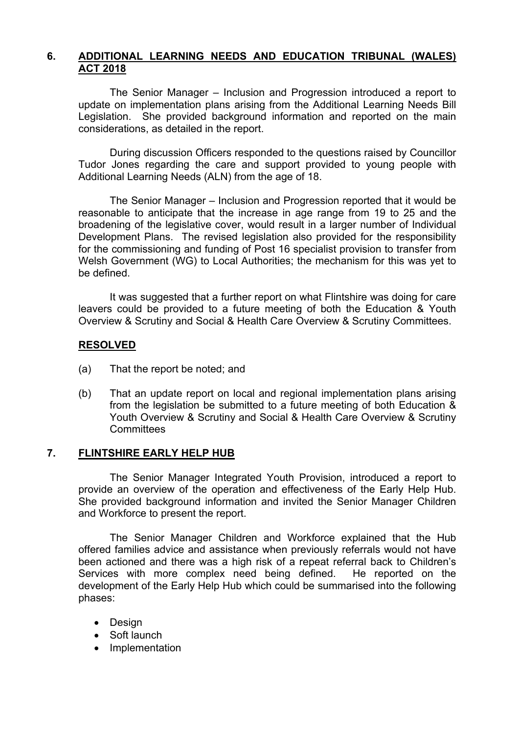# **6. ADDITIONAL LEARNING NEEDS AND EDUCATION TRIBUNAL (WALES) ACT 2018**

The Senior Manager – Inclusion and Progression introduced a report to update on implementation plans arising from the Additional Learning Needs Bill Legislation. She provided background information and reported on the main considerations, as detailed in the report.

During discussion Officers responded to the questions raised by Councillor Tudor Jones regarding the care and support provided to young people with Additional Learning Needs (ALN) from the age of 18.

The Senior Manager – Inclusion and Progression reported that it would be reasonable to anticipate that the increase in age range from 19 to 25 and the broadening of the legislative cover, would result in a larger number of Individual Development Plans. The revised legislation also provided for the responsibility for the commissioning and funding of Post 16 specialist provision to transfer from Welsh Government (WG) to Local Authorities; the mechanism for this was yet to be defined.

It was suggested that a further report on what Flintshire was doing for care leavers could be provided to a future meeting of both the Education & Youth Overview & Scrutiny and Social & Health Care Overview & Scrutiny Committees.

### **RESOLVED**

- (a) That the report be noted; and
- (b) That an update report on local and regional implementation plans arising from the legislation be submitted to a future meeting of both Education & Youth Overview & Scrutiny and Social & Health Care Overview & Scrutiny **Committees**

## **7. FLINTSHIRE EARLY HELP HUB**

The Senior Manager Integrated Youth Provision, introduced a report to provide an overview of the operation and effectiveness of the Early Help Hub. She provided background information and invited the Senior Manager Children and Workforce to present the report.

The Senior Manager Children and Workforce explained that the Hub offered families advice and assistance when previously referrals would not have been actioned and there was a high risk of a repeat referral back to Children's Services with more complex need being defined. He reported on the development of the Early Help Hub which could be summarised into the following phases:

- Design
- Soft launch
- Implementation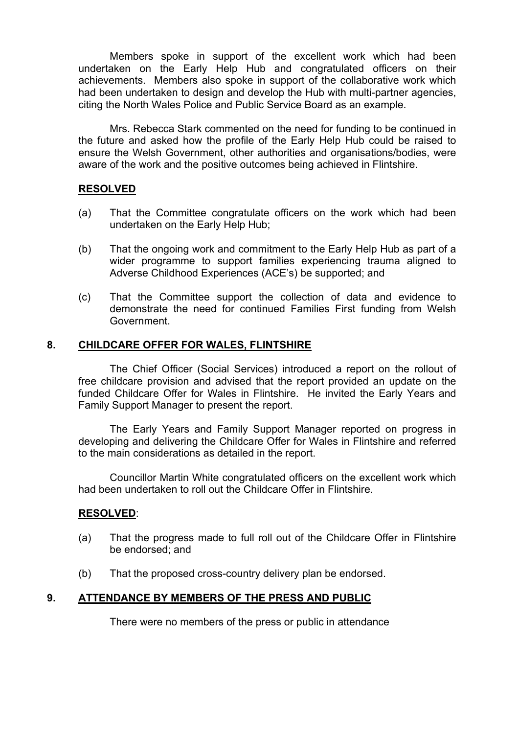Members spoke in support of the excellent work which had been undertaken on the Early Help Hub and congratulated officers on their achievements. Members also spoke in support of the collaborative work which had been undertaken to design and develop the Hub with multi-partner agencies, citing the North Wales Police and Public Service Board as an example.

Mrs. Rebecca Stark commented on the need for funding to be continued in the future and asked how the profile of the Early Help Hub could be raised to ensure the Welsh Government, other authorities and organisations/bodies, were aware of the work and the positive outcomes being achieved in Flintshire.

## **RESOLVED**

- (a) That the Committee congratulate officers on the work which had been undertaken on the Early Help Hub;
- (b) That the ongoing work and commitment to the Early Help Hub as part of a wider programme to support families experiencing trauma aligned to Adverse Childhood Experiences (ACE's) be supported; and
- (c) That the Committee support the collection of data and evidence to demonstrate the need for continued Families First funding from Welsh Government.

### **8. CHILDCARE OFFER FOR WALES, FLINTSHIRE**

The Chief Officer (Social Services) introduced a report on the rollout of free childcare provision and advised that the report provided an update on the funded Childcare Offer for Wales in Flintshire. He invited the Early Years and Family Support Manager to present the report.

The Early Years and Family Support Manager reported on progress in developing and delivering the Childcare Offer for Wales in Flintshire and referred to the main considerations as detailed in the report.

Councillor Martin White congratulated officers on the excellent work which had been undertaken to roll out the Childcare Offer in Flintshire.

#### **RESOLVED**:

- (a) That the progress made to full roll out of the Childcare Offer in Flintshire be endorsed; and
- (b) That the proposed cross-country delivery plan be endorsed.

## **9. ATTENDANCE BY MEMBERS OF THE PRESS AND PUBLIC**

There were no members of the press or public in attendance